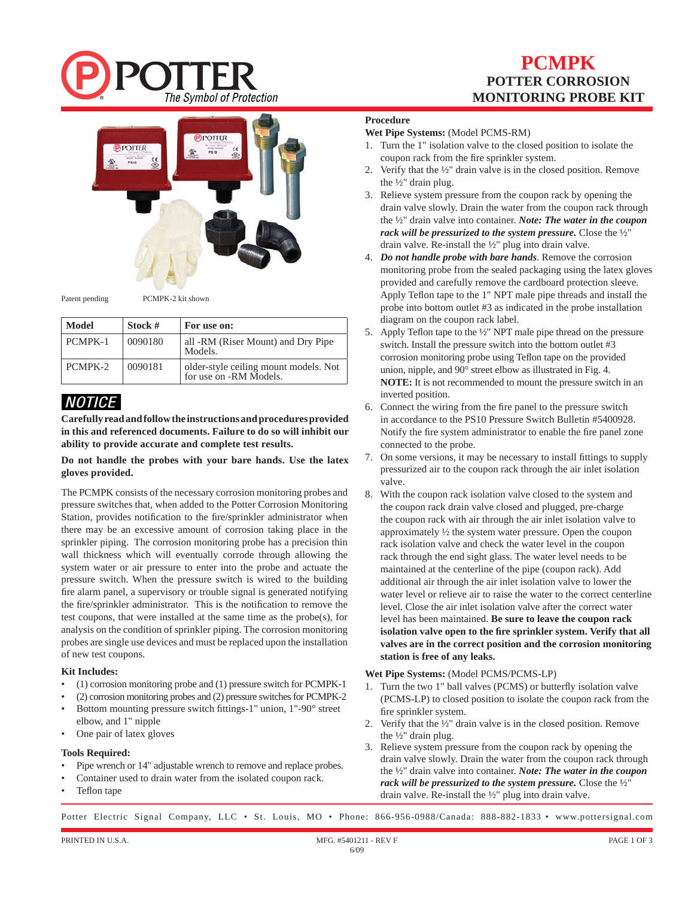

## **PCMPK POTTER CORROSION MONITORING PROBE KIT**



Patent pending PCMPK-2 kit shown

| <b>Model</b> | Stock # | For use on:                                                     |
|--------------|---------|-----------------------------------------------------------------|
| PCMPK-1      | 0090180 | all -RM (Riser Mount) and Dry Pipe<br>Models.                   |
| PCMPK-2      | 0090181 | older-style ceiling mount models. Not<br>for use on -RM Models. |

### *NOTICE*

**Carefully read and follow the instructions and procedures provided in this and referenced documents. Failure to do so will inhibit our ability to provide accurate and complete test results.**

**Do not handle the probes with your bare hands. Use the latex gloves provided.**

The PCMPK consists of the necessary corrosion monitoring probes and pressure switches that, when added to the Potter Corrosion Monitoring Station, provides notification to the fire/sprinkler administrator when there may be an excessive amount of corrosion taking place in the sprinkler piping. The corrosion monitoring probe has a precision thin wall thickness which will eventually corrode through allowing the system water or air pressure to enter into the probe and actuate the pressure switch. When the pressure switch is wired to the building fire alarm panel, a supervisory or trouble signal is generated notifying the fire/sprinkler administrator. This is the notification to remove the test coupons, that were installed at the same time as the probe(s), for analysis on the condition of sprinkler piping. The corrosion monitoring probes are single use devices and must be replaced upon the installation of new test coupons.

### **Kit Includes:**

- (1) corrosion monitoring probe and (1) pressure switch for PCMPK-1
- (2) corrosion monitoring probes and (2) pressure switches for PCMPK-2
- Bottom mounting pressure switch fittings-1" union,  $1"$ -90 $\circ$  street elbow, and 1" nipple
- One pair of latex gloves

#### **Tools Required:**

- Pipe wrench or 14" adjustable wrench to remove and replace probes.
- Container used to drain water from the isolated coupon rack.
- Teflon tape

### **Procedure**

### **Wet Pipe Systems:** (Model PCMS-RM)

- 1. Turn the 1" isolation valve to the closed position to isolate the coupon rack from the fire sprinkler system.
- 2. Verify that the  $\frac{1}{2}$ " drain valve is in the closed position. Remove the ½" drain plug.
- 3. Relieve system pressure from the coupon rack by opening the drain valve slowly. Drain the water from the coupon rack through the ½" drain valve into container. *Note: The water in the coupon rack will be pressurized to the system pressure.* Close the ½" drain valve. Re-install the ½" plug into drain valve.
- 4. *Do not handle probe with bare hands*. Remove the corrosion monitoring probe from the sealed packaging using the latex gloves provided and carefully remove the cardboard protection sleeve. Apply Teflon tape to the 1" NPT male pipe threads and install the probe into bottom outlet #3 as indicated in the probe installation diagram on the coupon rack label.
- 5. Apply Teflon tape to the  $\frac{1}{2}$ " NPT male pipe thread on the pressure switch. Install the pressure switch into the bottom outlet #3 corrosion monitoring probe using Teflon tape on the provided union, nipple, and 90° street elbow as illustrated in Fig. 4. **NOTE:** It is not recommended to mount the pressure switch in an inverted position.
- 6. Connect the wiring from the fire panel to the pressure switch in accordance to the PS10 Pressure Switch Bulletin #5400928. Notify the fire system administrator to enable the fire panel zone connected to the probe.
- 7. On some versions, it may be necessary to install fittings to supply pressurized air to the coupon rack through the air inlet isolation valve.
- 8. With the coupon rack isolation valve closed to the system and the coupon rack drain valve closed and plugged, pre-charge the coupon rack with air through the air inlet isolation valve to approximately ½ the system water pressure. Open the coupon rack isolation valve and check the water level in the coupon rack through the end sight glass. The water level needs to be maintained at the centerline of the pipe (coupon rack). Add additional air through the air inlet isolation valve to lower the water level or relieve air to raise the water to the correct centerline level. Close the air inlet isolation valve after the correct water level has been maintained. **Be sure to leave the coupon rack**  isolation valve open to the fire sprinkler system. Verify that all **valves are in the correct position and the corrosion monitoring station is free of any leaks.**

### **Wet Pipe Systems:** (Model PCMS/PCMS-LP)

- 1. Turn the two 1" ball valves (PCMS) or butterfly isolation valve (PCMS-LP) to closed position to isolate the coupon rack from the fire sprinkler system.
- 2. Verify that the ½" drain valve is in the closed position. Remove the ½" drain plug.
- 3. Relieve system pressure from the coupon rack by opening the drain valve slowly. Drain the water from the coupon rack through the ½" drain valve into container. *Note: The water in the coupon rack will be pressurized to the system pressure.* Close the ½" drain valve. Re-install the ½" plug into drain valve.

Potter Electric Signal Company, LLC • St. Louis, MO • Phone: 866-956-0988/Canada: 888-882-1833 • www.pottersignal.com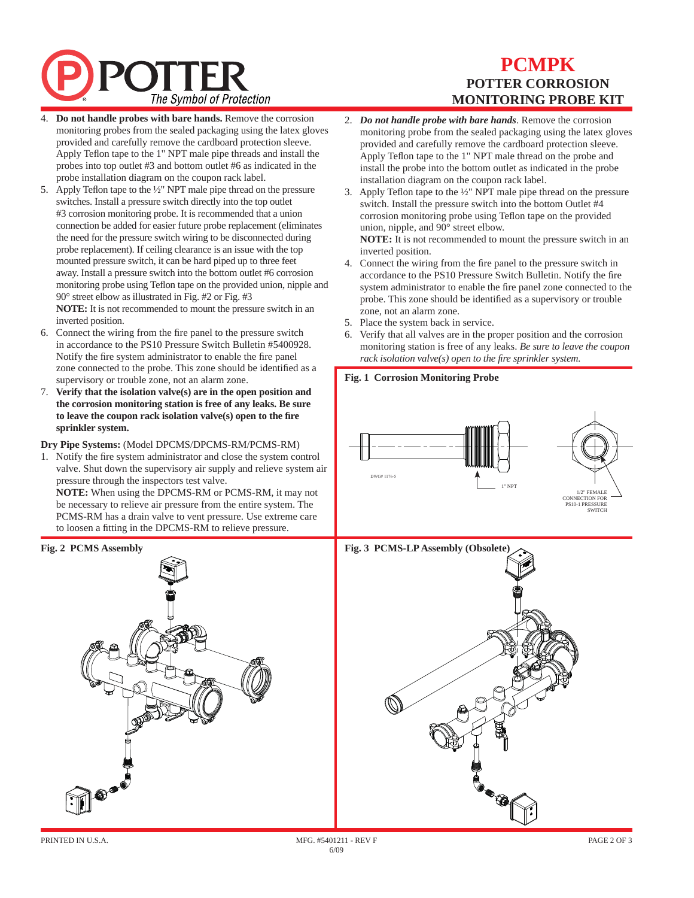# The Symbol of Protection

## **PCMPK POTTER CORROSION MONITORING PROBE KIT**

- 4. **Do not handle probes with bare hands.** Remove the corrosion monitoring probes from the sealed packaging using the latex gloves provided and carefully remove the cardboard protection sleeve. Apply Teflon tape to the 1" NPT male pipe threads and install the probes into top outlet #3 and bottom outlet #6 as indicated in the probe installation diagram on the coupon rack label.
- 5. Apply Teflon tape to the  $\frac{1}{2}$ " NPT male pipe thread on the pressure switches. Install a pressure switch directly into the top outlet #3 corrosion monitoring probe. It is recommended that a union connection be added for easier future probe replacement (eliminates the need for the pressure switch wiring to be disconnected during probe replacement). If ceiling clearance is an issue with the top mounted pressure switch, it can be hard piped up to three feet away. Install a pressure switch into the bottom outlet #6 corrosion monitoring probe using Teflon tape on the provided union, nipple and 90° street elbow as illustrated in Fig. #2 or Fig. #3

**NOTE:** It is not recommended to mount the pressure switch in an inverted position.

- 6. Connect the wiring from the fire panel to the pressure switch in accordance to the PS10 Pressure Switch Bulletin #5400928. Notify the fire system administrator to enable the fire panel zone connected to the probe. This zone should be identified as a supervisory or trouble zone, not an alarm zone.
- 7. **Verify that the isolation valve(s) are in the open position and the corrosion monitoring station is free of any leaks. Be sure to leave the coupon rack isolation valve(s) open to the fi re sprinkler system.**

### **Dry Pipe Systems:** (Model DPCMS/DPCMS-RM/PCMS-RM)

1. Notify the fire system administrator and close the system control valve. Shut down the supervisory air supply and relieve system air pressure through the inspectors test valve. **NOTE:** When using the DPCMS-RM or PCMS-RM, it may not be necessary to relieve air pressure from the entire system. The PCMS-RM has a drain valve to vent pressure. Use extreme care to loosen a fitting in the DPCMS-RM to relieve pressure.

### **Fig. 2 PCMS Assembly**



- 2. *Do not handle probe with bare hands*. Remove the corrosion monitoring probe from the sealed packaging using the latex gloves provided and carefully remove the cardboard protection sleeve. Apply Teflon tape to the 1" NPT male thread on the probe and install the probe into the bottom outlet as indicated in the probe installation diagram on the coupon rack label.
- 3. Apply Teflon tape to the  $\frac{1}{2}$ " NPT male pipe thread on the pressure switch. Install the pressure switch into the bottom Outlet #4 corrosion monitoring probe using Teflon tape on the provided union, nipple, and 90° street elbow. **NOTE:** It is not recommended to mount the pressure switch in an inverted position.
- 4. Connect the wiring from the fire panel to the pressure switch in accordance to the PS10 Pressure Switch Bulletin. Notify the fire system administrator to enable the fire panel zone connected to the probe. This zone should be identified as a supervisory or trouble zone, not an alarm zone.
- 5. Place the system back in service.
- Verify that all valves are in the proper position and the corrosion monitoring station is free of any leaks. *Be sure to leave the coupon rack isolation valve(s) open to the fire sprinkler system.*

### **Fig. 1 Corrosion Monitoring Probe**